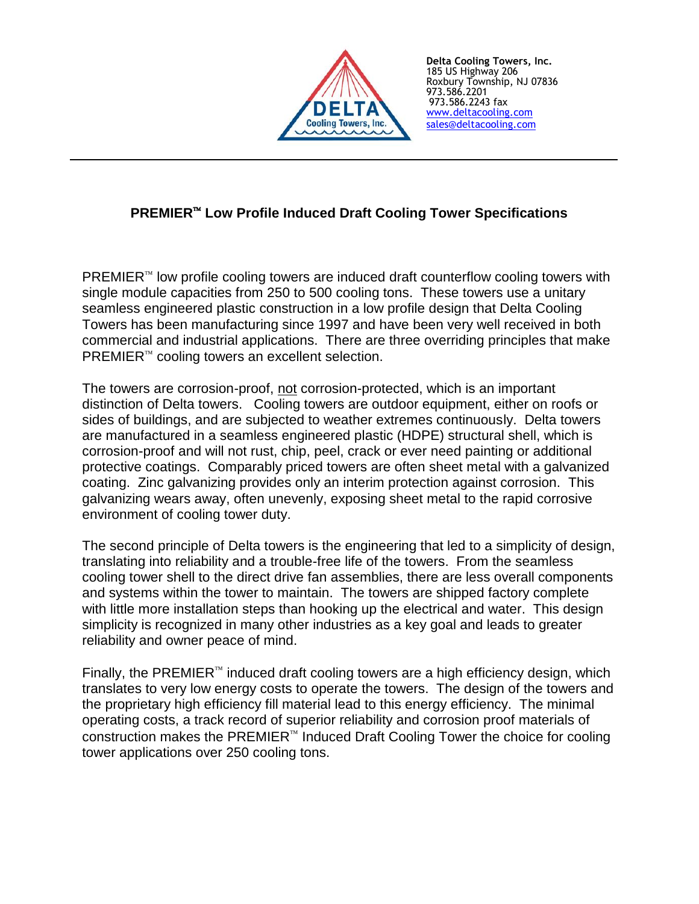

**Delta Cooling Towers, Inc.** 185 US Highway 206 Roxbury Township, NJ 07836 973.586.2201 973.586.2243 fax [www.deltacooling.com](http://www.deltacooling.com/) [sales@deltacooling.com](mailto:sales@deltacooling.com)

# **PREMIER Low Profile Induced Draft Cooling Tower Specifications**

 $PREMIER^{\omega}$  low profile cooling towers are induced draft counterflow cooling towers with single module capacities from 250 to 500 cooling tons. These towers use a unitary seamless engineered plastic construction in a low profile design that Delta Cooling Towers has been manufacturing since 1997 and have been very well received in both commercial and industrial applications. There are three overriding principles that make  $PREMIER^{\mathbb{N}}$  cooling towers an excellent selection.

The towers are corrosion-proof, not corrosion-protected, which is an important distinction of Delta towers. Cooling towers are outdoor equipment, either on roofs or sides of buildings, and are subjected to weather extremes continuously. Delta towers are manufactured in a seamless engineered plastic (HDPE) structural shell, which is corrosion-proof and will not rust, chip, peel, crack or ever need painting or additional protective coatings. Comparably priced towers are often sheet metal with a galvanized coating. Zinc galvanizing provides only an interim protection against corrosion. This galvanizing wears away, often unevenly, exposing sheet metal to the rapid corrosive environment of cooling tower duty.

The second principle of Delta towers is the engineering that led to a simplicity of design, translating into reliability and a trouble-free life of the towers. From the seamless cooling tower shell to the direct drive fan assemblies, there are less overall components and systems within the tower to maintain. The towers are shipped factory complete with little more installation steps than hooking up the electrical and water. This design simplicity is recognized in many other industries as a key goal and leads to greater reliability and owner peace of mind.

Finally, the PREMIER<sup> $m$ </sup> induced draft cooling towers are a high efficiency design, which translates to very low energy costs to operate the towers. The design of the towers and the proprietary high efficiency fill material lead to this energy efficiency. The minimal operating costs, a track record of superior reliability and corrosion proof materials of construction makes the PREMIER $<sup>m</sup>$  Induced Draft Cooling Tower the choice for cooling</sup> tower applications over 250 cooling tons.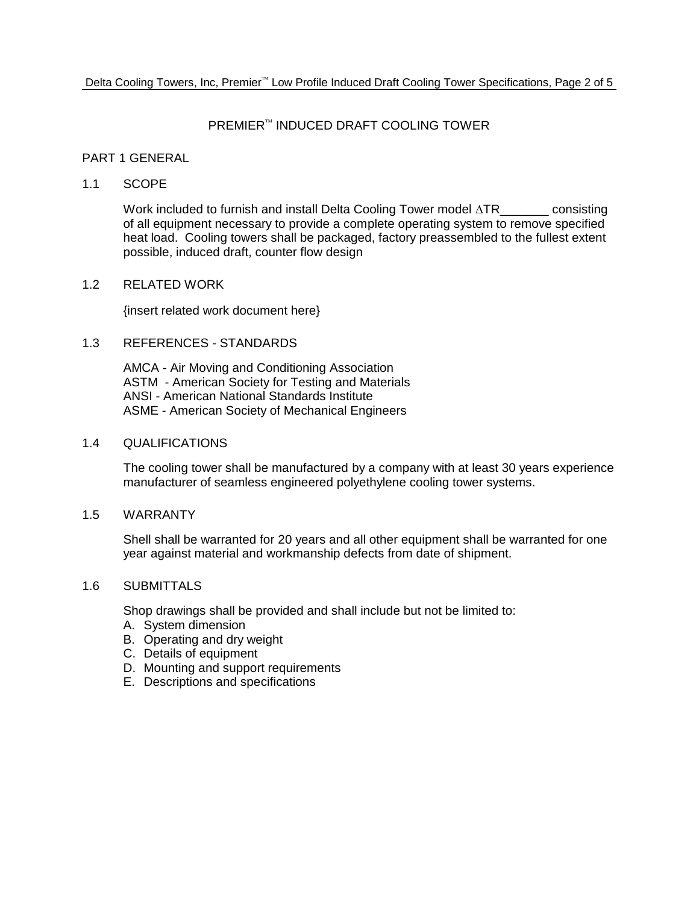## PREMIER™ INDUCED DRAFT COOLING TOWER

## PART 1 GENERAL

## 1.1 SCOPE

Work included to furnish and install Delta Cooling Tower model  $\Delta TR$  consisting of all equipment necessary to provide a complete operating system to remove specified heat load. Cooling towers shall be packaged, factory preassembled to the fullest extent possible, induced draft, counter flow design

## 1.2 RELATED WORK

{insert related work document here}

## 1.3 REFERENCES - STANDARDS

AMCA - Air Moving and Conditioning Association ASTM - American Society for Testing and Materials ANSI - American National Standards Institute ASME - American Society of Mechanical Engineers

## 1.4 QUALIFICATIONS

The cooling tower shall be manufactured by a company with at least 30 years experience manufacturer of seamless engineered polyethylene cooling tower systems.

#### 1.5 WARRANTY

Shell shall be warranted for 20 years and all other equipment shall be warranted for one year against material and workmanship defects from date of shipment.

## 1.6 SUBMITTALS

Shop drawings shall be provided and shall include but not be limited to:

- A. System dimension
- B. Operating and dry weight
- C. Details of equipment
- D. Mounting and support requirements
- E. Descriptions and specifications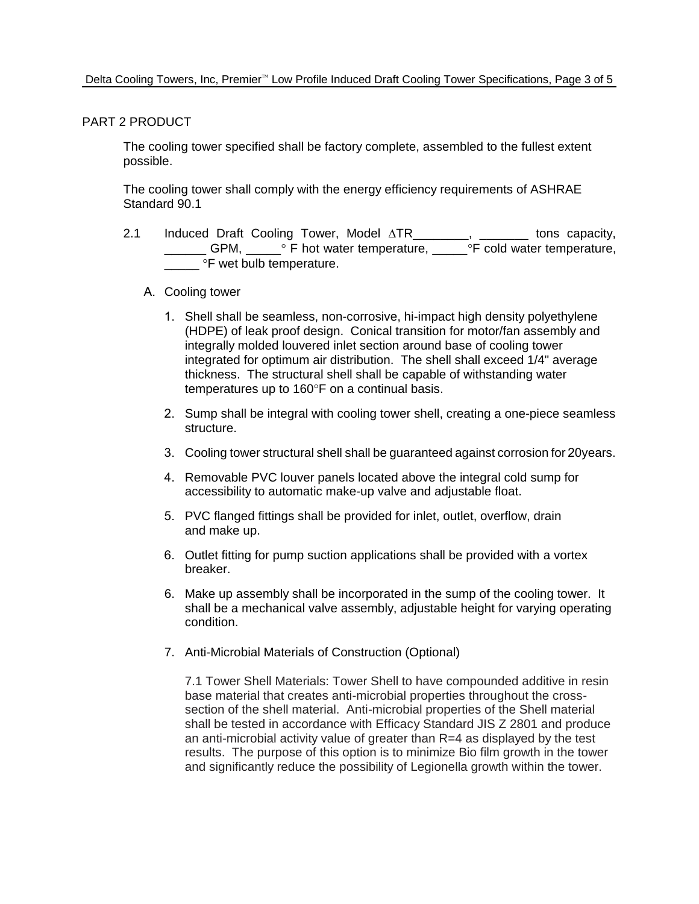## PART 2 PRODUCT

The cooling tower specified shall be factory complete, assembled to the fullest extent possible.

The cooling tower shall comply with the energy efficiency requirements of ASHRAE Standard 90.1

2.1 Induced Draft Cooling Tower, Model  $\triangle TR$  \_\_\_\_\_\_, \_\_\_\_\_\_ tons capacity, LICTUM, LICTUM F hot water temperature, LICTUM F cold water temperature, <sup>o</sup>F wet bulb temperature.

## A. Cooling tower

- 1. Shell shall be seamless, non-corrosive, hi-impact high density polyethylene (HDPE) of leak proof design. Conical transition for motor/fan assembly and integrally molded louvered inlet section around base of cooling tower integrated for optimum air distribution. The shell shall exceed 1/4" average thickness. The structural shell shall be capable of withstanding water temperatures up to 160°F on a continual basis.
- 2. Sump shall be integral with cooling tower shell, creating a one-piece seamless structure.
- 3. Cooling tower structural shell shall be guaranteed against corrosion for 20years.
- 4. Removable PVC louver panels located above the integral cold sump for accessibility to automatic make-up valve and adjustable float.
- 5. PVC flanged fittings shall be provided for inlet, outlet, overflow, drain and make up.
- 6. Outlet fitting for pump suction applications shall be provided with a vortex breaker.
- 6. Make up assembly shall be incorporated in the sump of the cooling tower. It shall be a mechanical valve assembly, adjustable height for varying operating condition.
- 7. Anti-Microbial Materials of Construction (Optional)

7.1 Tower Shell Materials: Tower Shell to have compounded additive in resin base material that creates anti-microbial properties throughout the crosssection of the shell material. Anti-microbial properties of the Shell material shall be tested in accordance with Efficacy Standard JIS Z 2801 and produce an anti-microbial activity value of greater than R=4 as displayed by the test results. The purpose of this option is to minimize Bio film growth in the tower and significantly reduce the possibility of Legionella growth within the tower.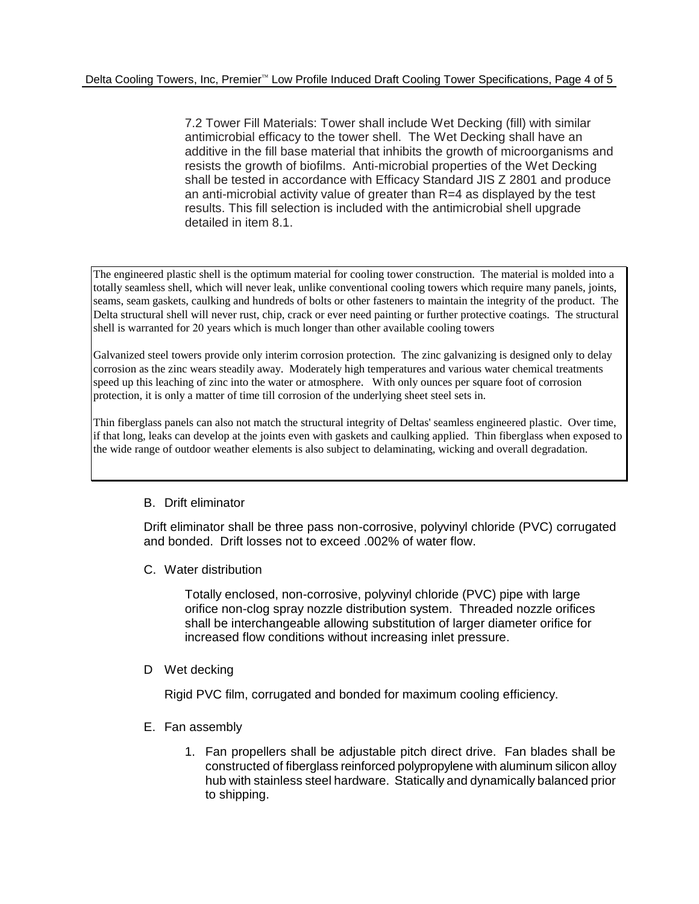7.2 Tower Fill Materials: Tower shall include Wet Decking (fill) with similar antimicrobial efficacy to the tower shell. The Wet Decking shall have an additive in the fill base material that inhibits the growth of microorganisms and resists the growth of biofilms. Anti-microbial properties of the Wet Decking shall be tested in accordance with Efficacy Standard JIS Z 2801 and produce an anti-microbial activity value of greater than R=4 as displayed by the test results. This fill selection is included with the antimicrobial shell upgrade detailed in item 8.1.

The engineered plastic shell is the optimum material for cooling tower construction. The material is molded into a totally seamless shell, which will never leak, unlike conventional cooling towers which require many panels, joints, seams, seam gaskets, caulking and hundreds of bolts or other fasteners to maintain the integrity of the product. The Delta structural shell will never rust, chip, crack or ever need painting or further protective coatings. The structural shell is warranted for 20 years which is much longer than other available cooling towers

Galvanized steel towers provide only interim corrosion protection. The zinc galvanizing is designed only to delay corrosion as the zinc wears steadily away. Moderately high temperatures and various water chemical treatments speed up this leaching of zinc into the water or atmosphere. With only ounces per square foot of corrosion protection, it is only a matter of time till corrosion of the underlying sheet steel sets in.

Thin fiberglass panels can also not match the structural integrity of Deltas' seamless engineered plastic. Over time, if that long, leaks can develop at the joints even with gaskets and caulking applied. Thin fiberglass when exposed to the wide range of outdoor weather elements is also subject to delaminating, wicking and overall degradation.

# B. Drift eliminator

Drift eliminator shall be three pass non-corrosive, polyvinyl chloride (PVC) corrugated and bonded. Drift losses not to exceed .002% of water flow.

C. Water distribution

Totally enclosed, non-corrosive, polyvinyl chloride (PVC) pipe with large orifice non-clog spray nozzle distribution system. Threaded nozzle orifices shall be interchangeable allowing substitution of larger diameter orifice for increased flow conditions without increasing inlet pressure.

D Wet decking

Rigid PVC film, corrugated and bonded for maximum cooling efficiency.

- E. Fan assembly
	- 1. Fan propellers shall be adjustable pitch direct drive. Fan blades shall be constructed of fiberglass reinforced polypropylene with aluminum silicon alloy hub with stainless steel hardware. Statically and dynamically balanced prior to shipping.